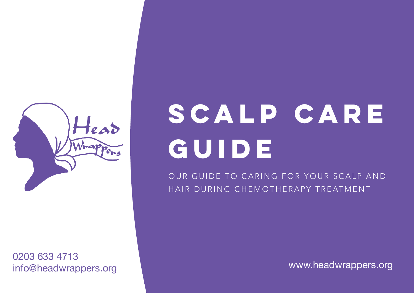

0203 633 4713 info@headwrappers.org [www.headwrappers.org](http://www.headwrappers.org)

# **Scalp Care Guide**

OUR GUIDE TO CARING FOR YOUR SCALP AND HAIR DURING CHEMOTHERAPY TREATMENT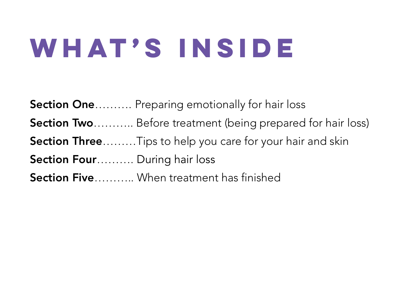## **WHAT'S INSIDE**

Section One.......... Preparing emotionally for hair loss Section Two........... Before treatment (being prepared for hair loss) Section Three………Tips to help you care for your hair and skin

Section Four.......... During hair loss

Section Five…........ When treatment has finished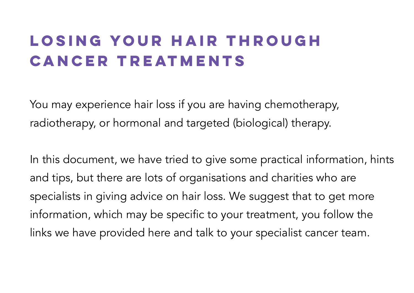### **Losing your hair through cancer treatments**

You may experience hair loss if you are having chemotherapy, radiotherapy, or hormonal and targeted (biological) therapy.

In this document, we have tried to give some practical information, hints and tips, but there are lots of organisations and charities who are specialists in giving advice on hair loss. We suggest that to get more information, which may be specific to your treatment, you follow the links we have provided here and talk to your specialist cancer team.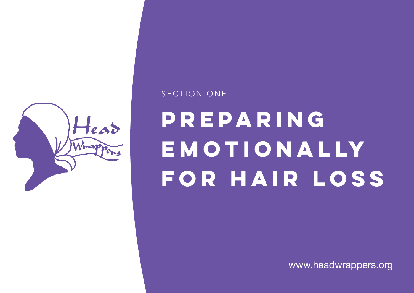

#### SECTION ONE

## **PREPARING EMOTIONALLY FOR HAIR LOSS**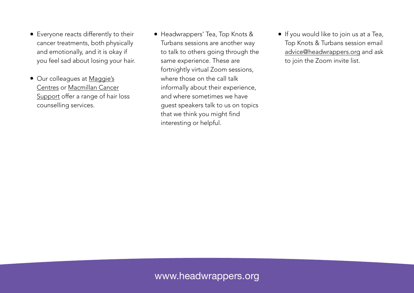- Everyone reacts differently to their cancer treatments, both physically and emotionally, and it is okay if you feel sad about losing your hair.
- Our colleagues at [Maggie's](https://www.maggies.org/)  [Centres](https://www.maggies.org/) or [Macmillan Cancer](https://www.macmillan.org.uk/)  [Support](https://www.macmillan.org.uk/) offer a range of hair loss counselling services.
- Headwrappers' Tea, Top Knots & Turbans sessions are another way to talk to others going through the same experience. These are fortnightly virtual Zoom sessions, where those on the call talk informally about their experience, and where sometimes we have guest speakers talk to us on topics that we think you might find interesting or helpful.
- If you would like to join us at a Tea, Top Knots & Turbans session email [advice@headwrappers.org](mailto:advice@headwrappers.org) and ask to join the Zoom invite list.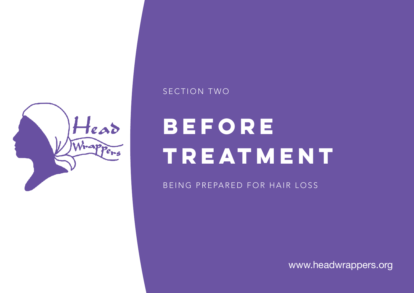

#### SECTION TWO

### **before TREATMENT**

BEING PREPARED FOR HAIR LOSS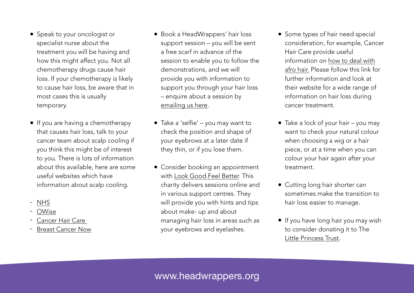- Speak to your oncologist or specialist nurse about the treatment you will be having and how this might affect you. Not all chemotherapy drugs cause hair loss. If your chemotherapy is likely to cause hair loss, be aware that in most cases this is usually temporary.
- If you are having a chemotherapy that causes hair loss, talk to your cancer team about scalp cooling if you think this might be of interest to you. There is lots of information about this available, here are some useful websites which have information about scalp cooling.
- [NHS](https://www.nhs.uk/conditions/chemotherapy/cancer-and-hair-loss/)
- [OWise](https://owise.uk/)
- Cancer Hair Care
- Breast Cancer Now
- Book a HeadWrappers' hair loss support session – you will be sent a free scarf in advance of the session to enable you to follow the demonstrations, and we will provide you with information to support you through your hair loss – enquire about a session by [emailing us here.](mailto:advice@headwrappers.org%3Fsubject=Enquiry)
- Take a 'selfie' you may want to check the position and shape of your eyebrows at a later date if they thin, or if you lose them.
- Consider booking an appointment with [Look Good Feel Better.](https://www.lookgoodfeelbetter.co.uk/) This charity delivers sessions online and in various support centres. They will provide you with hints and tips about make- up and about managing hair loss in areas such as your eyebrows and eyelashes.
- Some types of hair need special consideration, for example, Cancer Hair Care provide useful information on [how to deal with](https://www.cancerhaircare.co.uk/afro-hair/)  [afro hair.](https://www.cancerhaircare.co.uk/afro-hair/) Please follow this link for further information and look at their website for a wide range of information on hair loss during cancer treatment.
- Take a lock of your hair you may want to check your natural colour when choosing a wig or a hair piece, or at a time when you can colour your hair again after your treatment.
- Cutting long hair shorter can sometimes make the transition to hair loss easier to manage.
- If you have long hair you may wish to consider donating it to The [Little Princess Trust](http://www.littleprincesses.org.uk/).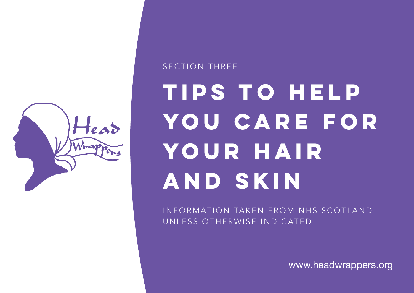

### **TIPS TO HELP YOU CARE FOR YOUR HAIR AND SKIN** SECTION THREE

INFORMATION TAKEN FROM [NHS SCOTLAND](https://www.nhsinform.scot/illnesses-and-conditions/cancer/side-effects/hair-loss) UNLESS OTHERWISE INDICATED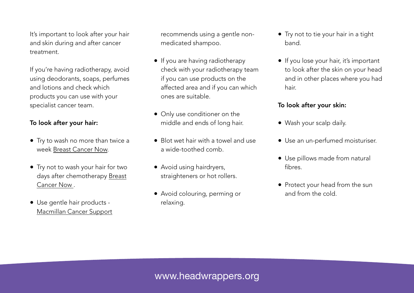It's important to look after your hair and skin during and after cancer treatment.

If you're having radiotherapy, avoid using deodorants, soaps, perfumes and lotions and check which products you can use with your specialist cancer team.

#### To look after your hair:

- Try to wash no more than twice a week [Breast Cancer Now.](https://breastcancernow.org/sites/default/files/publications/pdf/bcc54_hairloss_2018_web.pdf)
- Try not to wash your hair for two days after chemotherapy [Breast](https://breastcancernow.org/sites/default/files/publications/pdf/bcc54_hairloss_2018_web.pdf)  [Cancer Now .](https://breastcancernow.org/sites/default/files/publications/pdf/bcc54_hairloss_2018_web.pdf)
- Use gentle hair products [Macmillan Cancer Support](https://www.macmillan.org.uk/cancer-information-and-support/impacts-of-cancer/hair-loss)

recommends using a gentle nonmedicated shampoo.

- If you are having radiotherapy check with your radiotherapy team if you can use products on the affected area and if you can which ones are suitable.
- Only use conditioner on the middle and ends of long hair.
- Blot wet hair with a towel and use a wide-toothed comb.
- Avoid using hairdryers, straighteners or hot rollers.
- Avoid colouring, perming or relaxing.
- Try not to tie your hair in a tight band.
- If you lose your hair, it's important to look after the skin on your head and in other places where you had hair.

#### To look after your skin:

- Wash your scalp daily.
- Use an un-perfumed moisturiser.
- Use pillows made from natural fibres.
- Protect your head from the sun and from the cold.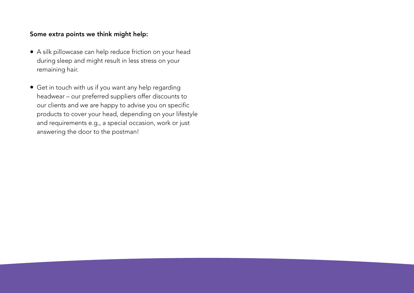#### Some extra points we think might help:

- A silk pillowcase can help reduce friction on your head during sleep and might result in less stress on your remaining hair.
- Get in touch with us if you want any help regarding headwear – our preferred suppliers offer discounts to our clients and we are happy to advise you on specific products to cover your head, depending on your lifestyle and requirements e.g., a special occasion, work or just answering the door to the postman!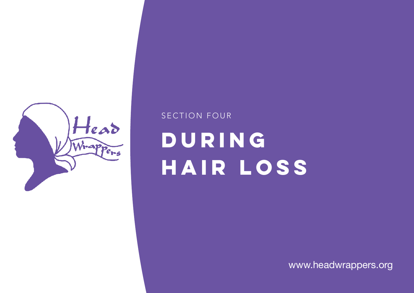

### **DURING HAIR LOSS** SECTION FOUR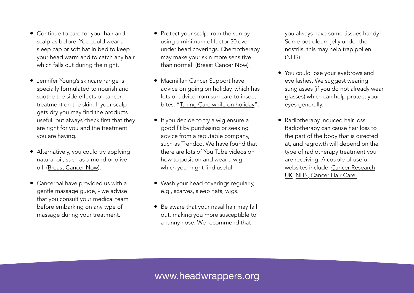- Continue to care for your hair and scalp as before. You could wear a sleep cap or soft hat in bed to keep your head warm and to catch any hair which falls out during the night.
- [Jennifer Young's skincare range](https://www.beautydespitecancer.com/) is specially formulated to nourish and soothe the side effects of cancer treatment on the skin. If your scalp gets dry you may find the products useful, but always check first that they are right for you and the treatment you are having.
- Alternatively, you could try applying natural oil, such as almond or olive oil. [\(Breast Cancer Now](https://breastcancernow.org/sites/default/files/publications/pdf/bcc54_hairloss_2018_web.pdf)).
- Cancerpal have provided us with a gentl[e massage guide](https://d69076b3-7bd8-4c39-9465-b10c2585b46c.filesusr.com/ugd/250004_e60206b4dce54cedab4aa3c1430c2e33.pdf), - we advise that you consult your medical team before embarking on any type of massage during your treatment.
- Protect your scalp from the sun by using a minimum of factor 30 even under head coverings. Chemotherapy may make your skin more sensitive than normal. [\(Breast Cancer Now\)](https://breastcancernow.org/sites/default/files/publications/pdf/bcc54_hairloss_2018_web.pdf) .
- Macmillan Cancer Support have advice on going on holiday, which has lots of advice from sun care to insect bites. "[Taking Care while on holiday"](https://www.macmillan.org.uk/cancer-information-and-support/impacts-of-cancer/travel/taking-care-while-away).
- If you decide to try a wig ensure a good fit by purchasing or seeking advice from a reputable company, such as [Trendco](https://www.trendco.co.uk/). We have found that there are lots of You Tube videos on how to position and wear a wig, which you might find useful.
- Wash your head coverings regularly, e.g., scarves, sleep hats, wigs.
- Be aware that your nasal hair may fall out, making you more susceptible to a runny nose. We recommend that

you always have some tissues handy! Some petroleum jelly under the nostrils, this may help trap pollen. [\(NHS](https://www.nhs.uk/conditions/hay-fever/)).

- You could lose your eyebrows and eye lashes. We suggest wearing sunglasses (if you do not already wear glasses) which can help protect your eyes generally.
- Radiotherapy induced hair loss Radiotherapy can cause hair loss to the part of the body that is directed at, and regrowth will depend on the type of radiotherapy treatment you are receiving. A couple of useful websites include: [Cancer Research](https://www.cancerresearchuk.org/about-cancer/cancer-in-general/treatment/radiotherapy/side-effects/head-and-neck-radiotherapy/hair-loss?_gl=1*1wwe3s4*_ga*ODI2NzU2NTMxLjE2Mzc0MTU1Nzk.*_ga_58736Z2GNN*MTYzNzQxNTU3OC4xLjEuMTYzNzQxNTYxMi4yNg..&_ga=2.154634488.1984578369.1637415579-826756531.1637415579)  [UK,](https://www.cancerresearchuk.org/about-cancer/cancer-in-general/treatment/radiotherapy/side-effects/head-and-neck-radiotherapy/hair-loss?_gl=1*1wwe3s4*_ga*ODI2NzU2NTMxLjE2Mzc0MTU1Nzk.*_ga_58736Z2GNN*MTYzNzQxNTU3OC4xLjEuMTYzNzQxNTYxMi4yNg..&_ga=2.154634488.1984578369.1637415579-826756531.1637415579) [NHS,](https://www.nhs.uk/conditions/radiotherapy/side-effects/) [Cancer Hair Care](https://www.cancerhaircare.co.uk/radiotherapy-new-hair-growth/) .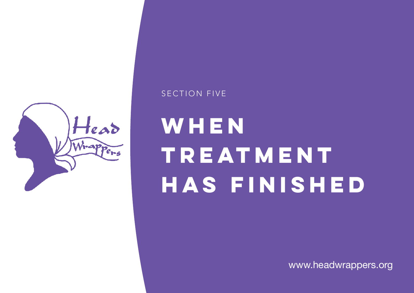

### **WHEN TREATMENT HAS FINISHED**

SECTION FIVE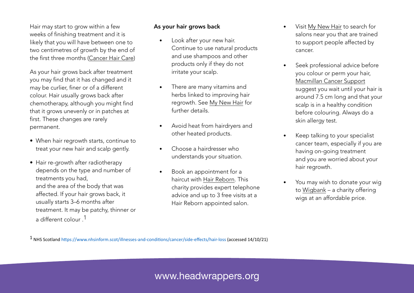Hair may start to grow within a few weeks of finishing treatment and it is likely that you will have between one to two centimetres of growth by the end of the first three months ([Cancer Hair Care\)](https://www.cancerhaircare.co.uk/hair-growth-cycle/)

As your hair grows back after treatment you may find that it has changed and it may be curlier, finer or of a different colour. Hair usually grows back after chemotherapy, although you might find that it grows unevenly or in patches at first. These changes are rarely permanent.

- When hair regrowth starts, continue to treat your new hair and scalp gently.
- Hair re-growth after radiotherapy depends on the type and number of treatments you had, and the area of the body that was affected. If your hair grows back, it usually starts 3–6 months after treatment. It may be patchy, thinner or a different colour .<sup>1</sup>

#### As your hair grows back

- Look after your new hair. Continue to use natural products and use shampoos and other products only if they do not irritate your scalp.
- There are many vitamins and herbs linked to improving hair regrowth. See [My New Hair](http://www.mynewhair.org/media/1064/mynewhair-pir-2014-digital.pdf) for further details.
- Avoid heat from hairdryers and other heated products.
- Choose a hairdresser who understands your situation.
- Book an appointment for a haircut with [Hair Reborn.](https://www.hairreborn.uk/) This charity provides expert telephone advice and up to 3 free visits at a Hair Reborn appointed salon.
- Visit [My New Hair](http://www.mynewhair.org/) to search for salons near you that are trained to support people affected by cancer.
- Seek professional advice before you colour or perm your hair, [Macmillan Cancer Support](https://www.macmillan.org.uk/cancer-information-and-support/impacts-of-cancer/hair-loss)  suggest you wait until your hair is around 7.5 cm long and that your scalp is in a healthy condition before colouring. Always do a skin allergy test.
- Keep talking to your specialist cancer team, especially if you are having on-going treatment and you are worried about your hair regrowth.
- You may wish to donate your wig to [Wigbank](http://wigbank.com) – a charity offering wigs at an affordable price.

 $1$  NHS Scotland https://www.nhsinform.scot/illnesses-and-conditions/cancer/side-effects/hair-loss (accessed 14/10/21)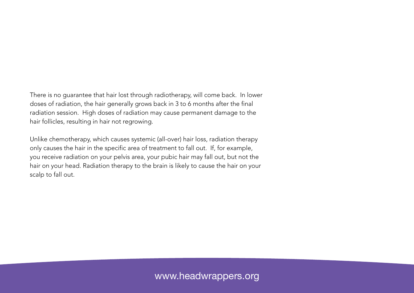There is no guarantee that hair lost through radiotherapy, will come back. In lower doses of radiation, the hair generally grows back in 3 to 6 months after the final radiation session. High doses of radiation may cause permanent damage to the hair follicles, resulting in hair not regrowing.

Unlike chemotherapy, which causes systemic (all-over) hair loss, radiation therapy only causes the hair in the specific area of treatment to fall out. If, for example, you receive radiation on your pelvis area, your pubic hair may fall out, but not the hair on your head. Radiation therapy to the brain is likely to cause the hair on your scalp to fall out.